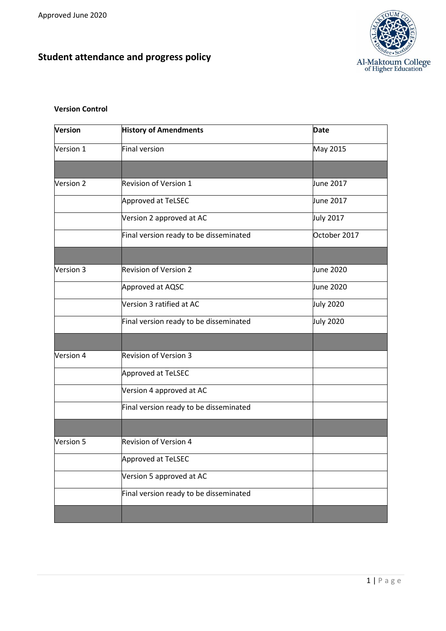# **Student attendance and progress policy**



#### **Version Control**

| <b>Version</b> | <b>History of Amendments</b>           | <b>Date</b>      |
|----------------|----------------------------------------|------------------|
| Version 1      | Final version                          | May 2015         |
|                |                                        |                  |
| Version 2      | <b>Revision of Version 1</b>           | June 2017        |
|                | <b>Approved at TeLSEC</b>              | June 2017        |
|                | Version 2 approved at AC               | <b>July 2017</b> |
|                | Final version ready to be disseminated | October 2017     |
|                |                                        |                  |
| Version 3      | <b>Revision of Version 2</b>           | June 2020        |
|                | Approved at AQSC                       | June 2020        |
|                | Version 3 ratified at AC               | <b>July 2020</b> |
|                | Final version ready to be disseminated | <b>July 2020</b> |
|                |                                        |                  |
| Version 4      | <b>Revision of Version 3</b>           |                  |
|                | Approved at TeLSEC                     |                  |
|                | Version 4 approved at AC               |                  |
|                | Final version ready to be disseminated |                  |
|                |                                        |                  |
| Version 5      | <b>Revision of Version 4</b>           |                  |
|                | Approved at TeLSEC                     |                  |
|                | Version 5 approved at AC               |                  |
|                | Final version ready to be disseminated |                  |
|                |                                        |                  |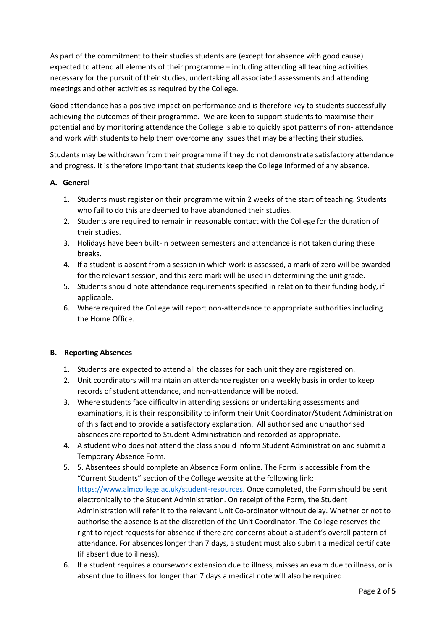As part of the commitment to their studies students are (except for absence with good cause) expected to attend all elements of their programme – including attending all teaching activities necessary for the pursuit of their studies, undertaking all associated assessments and attending meetings and other activities as required by the College.

Good attendance has a positive impact on performance and is therefore key to students successfully achieving the outcomes of their programme. We are keen to support students to maximise their potential and by monitoring attendance the College is able to quickly spot patterns of non- attendance and work with students to help them overcome any issues that may be affecting their studies.

Students may be withdrawn from their programme if they do not demonstrate satisfactory attendance and progress. It is therefore important that students keep the College informed of any absence.

# **A. General**

- 1. Students must register on their programme within 2 weeks of the start of teaching. Students who fail to do this are deemed to have abandoned their studies.
- 2. Students are required to remain in reasonable contact with the College for the duration of their studies.
- 3. Holidays have been built-in between semesters and attendance is not taken during these breaks.
- 4. If a student is absent from a session in which work is assessed, a mark of zero will be awarded for the relevant session, and this zero mark will be used in determining the unit grade.
- 5. Students should note attendance requirements specified in relation to their funding body, if applicable.
- 6. Where required the College will report non-attendance to appropriate authorities including the Home Office.

#### **B. Reporting Absences**

- 1. Students are expected to attend all the classes for each unit they are registered on.
- 2. Unit coordinators will maintain an attendance register on a weekly basis in order to keep records of student attendance, and non-attendance will be noted.
- 3. Where students face difficulty in attending sessions or undertaking assessments and examinations, it is their responsibility to inform their Unit Coordinator/Student Administration of this fact and to provide a satisfactory explanation. All authorised and unauthorised absences are reported to Student Administration and recorded as appropriate.
- 4. A student who does not attend the class should inform Student Administration and submit a Temporary Absence Form.
- 5. 5. Absentees should complete an Absence Form online. The Form is accessible from the "Current Students" section of the College website at the following link: [https://www.almcollege.ac.uk/student-resources.](https://www.almcollege.ac.uk/student-resources) Once completed, the Form should be sent electronically to the Student Administration. On receipt of the Form, the Student Administration will refer it to the relevant Unit Co-ordinator without delay. Whether or not to authorise the absence is at the discretion of the Unit Coordinator. The College reserves the right to reject requests for absence if there are concerns about a student's overall pattern of attendance. For absences longer than 7 days, a student must also submit a medical certificate (if absent due to illness).
- 6. If a student requires a coursework extension due to illness, misses an exam due to illness, or is absent due to illness for longer than 7 days a medical note will also be required.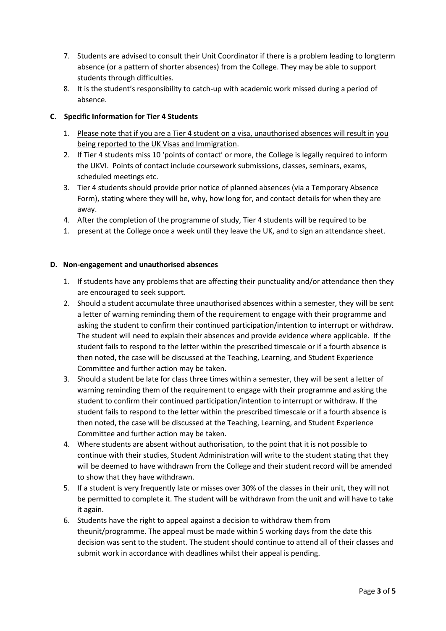- 7. Students are advised to consult their Unit Coordinator if there is a problem leading to longterm absence (or a pattern of shorter absences) from the College. They may be able to support students through difficulties.
- 8. It is the student's responsibility to catch-up with academic work missed during a period of absence.

# **C. Specific Information for Tier 4 Students**

- 1. Please note that if you are a Tier 4 student on a visa, unauthorised absences will result in you being reported to the UK Visas and Immigration.
- 2. If Tier 4 students miss 10 'points of contact' or more, the College is legally required to inform the UKVI. Points of contact include coursework submissions, classes, seminars, exams, scheduled meetings etc.
- 3. Tier 4 students should provide prior notice of planned absences (via a Temporary Absence Form), stating where they will be, why, how long for, and contact details for when they are away.
- 4. After the completion of the programme of study, Tier 4 students will be required to be
- 1. present at the College once a week until they leave the UK, and to sign an attendance sheet.

# **D. Non-engagement and unauthorised absences**

- 1. If students have any problems that are affecting their punctuality and/or attendance then they are encouraged to seek support.
- 2. Should a student accumulate three unauthorised absences within a semester, they will be sent a letter of warning reminding them of the requirement to engage with their programme and asking the student to confirm their continued participation/intention to interrupt or withdraw. The student will need to explain their absences and provide evidence where applicable. If the student fails to respond to the letter within the prescribed timescale or if a fourth absence is then noted, the case will be discussed at the Teaching, Learning, and Student Experience Committee and further action may be taken.
- 3. Should a student be late for class three times within a semester, they will be sent a letter of warning reminding them of the requirement to engage with their programme and asking the student to confirm their continued participation/intention to interrupt or withdraw. If the student fails to respond to the letter within the prescribed timescale or if a fourth absence is then noted, the case will be discussed at the Teaching, Learning, and Student Experience Committee and further action may be taken.
- 4. Where students are absent without authorisation, to the point that it is not possible to continue with their studies, Student Administration will write to the student stating that they will be deemed to have withdrawn from the College and their student record will be amended to show that they have withdrawn.
- 5. If a student is very frequently late or misses over 30% of the classes in their unit, they will not be permitted to complete it. The student will be withdrawn from the unit and will have to take it again.
- 6. Students have the right to appeal against a decision to withdraw them from theunit/programme. The appeal must be made within 5 working days from the date this decision was sent to the student. The student should continue to attend all of their classes and submit work in accordance with deadlines whilst their appeal is pending.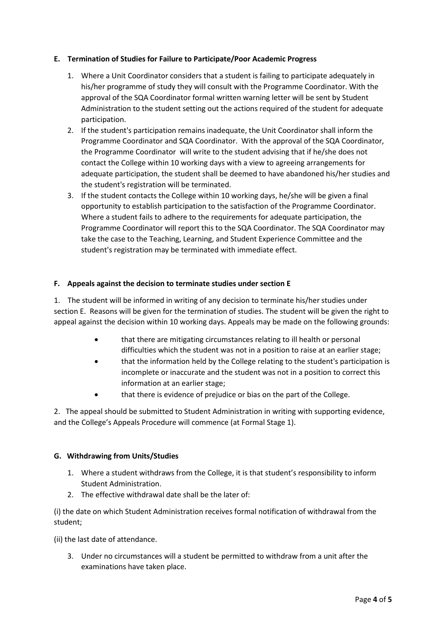## **E. Termination of Studies for Failure to Participate/Poor Academic Progress**

- 1. Where a Unit Coordinator considers that a student is failing to participate adequately in his/her programme of study they will consult with the Programme Coordinator. With the approval of the SQA Coordinator formal written warning letter will be sent by Student Administration to the student setting out the actions required of the student for adequate participation.
- 2. If the student's participation remains inadequate, the Unit Coordinator shall inform the Programme Coordinator and SQA Coordinator. With the approval of the SQA Coordinator, the Programme Coordinator will write to the student advising that if he/she does not contact the College within 10 working days with a view to agreeing arrangements for adequate participation, the student shall be deemed to have abandoned his/her studies and the student's registration will be terminated.
- 3. If the student contacts the College within 10 working days, he/she will be given a final opportunity to establish participation to the satisfaction of the Programme Coordinator. Where a student fails to adhere to the requirements for adequate participation, the Programme Coordinator will report this to the SQA Coordinator. The SQA Coordinator may take the case to the Teaching, Learning, and Student Experience Committee and the student's registration may be terminated with immediate effect.

## **F. Appeals against the decision to terminate studies under section E**

1. The student will be informed in writing of any decision to terminate his/her studies under section E. Reasons will be given for the termination of studies. The student will be given the right to appeal against the decision within 10 working days. Appeals may be made on the following grounds:

- that there are mitigating circumstances relating to ill health or personal difficulties which the student was not in a position to raise at an earlier stage;
- that the information held by the College relating to the student's participation is incomplete or inaccurate and the student was not in a position to correct this information at an earlier stage;
- that there is evidence of prejudice or bias on the part of the College.

2. The appeal should be submitted to Student Administration in writing with supporting evidence, and the College's Appeals Procedure will commence (at Formal Stage 1).

#### **G. Withdrawing from Units/Studies**

- 1. Where a student withdraws from the College, it is that student's responsibility to inform Student Administration.
- 2. The effective withdrawal date shall be the later of:

(i) the date on which Student Administration receives formal notification of withdrawal from the student;

(ii) the last date of attendance.

3. Under no circumstances will a student be permitted to withdraw from a unit after the examinations have taken place.